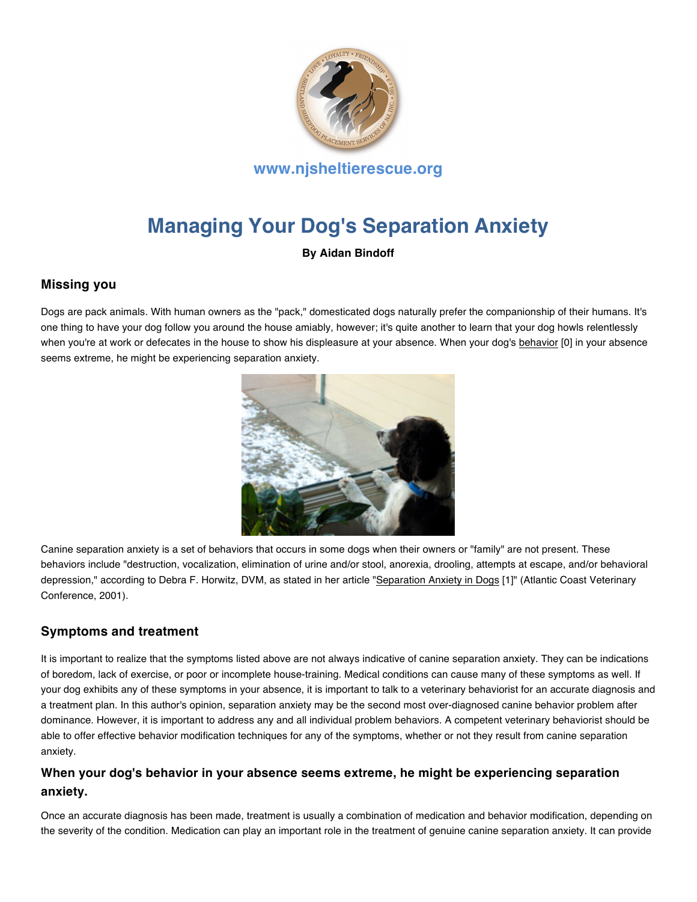

# **Managing Your Dog's Separation Anxiety**

**By Aidan Bindoff**

## **Missing you**

Dogs are pack animals. With human owners as the "pack," domesticated dogs naturally prefer the companionship of their humans. It's one thing to have your dog follow you around the house amiably, however; it's quite another to learn that your dog howls relentlessly when you're at work or defecates in the house to show his displeasure at your absence. When your dog's behavior [0] in your absence seems extreme, he might be experiencing separation anxiety.



Canine separation anxiety is a set of behaviors that occurs in some dogs when their owners or "family" are not present. These behaviors include "destruction, vocalization, elimination of urine and/or stool, anorexia, drooling, attempts at escape, and/or behavioral depression," according to Debra F. Horwitz, DVM, as stated in her article "Separation Anxiety in Dogs [1]" (Atlantic Coast Veterinary Conference, 2001).

## **Symptoms and treatment**

It is important to realize that the symptoms listed above are not always indicative of canine separation anxiety. They can be indications of boredom, lack of exercise, or poor or incomplete house-training. Medical conditions can cause many of these symptoms as well. If your dog exhibits any of these symptoms in your absence, it is important to talk to a veterinary behaviorist for an accurate diagnosis and a treatment plan. In this author's opinion, separation anxiety may be the second most over-diagnosed canine behavior problem after dominance. However, it is important to address any and all individual problem behaviors. A competent veterinary behaviorist should be able to offer effective behavior modification techniques for any of the symptoms, whether or not they result from canine separation anxiety.

## **When your dog's behavior in your absence seems extreme, he might be experiencing separation anxiety.**

Once an accurate diagnosis has been made, treatment is usually a combination of medication and behavior modification, depending on the severity of the condition. Medication can play an important role in the treatment of genuine canine separation anxiety. It can provide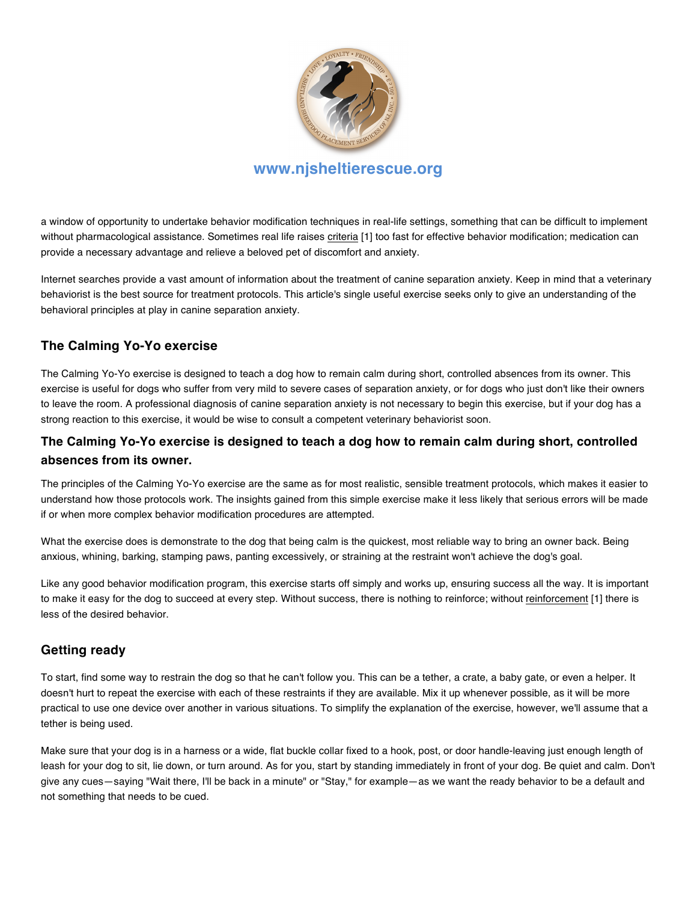

## **www.njsheltierescue.org**

a window of opportunity to undertake behavior modification techniques in real-life settings, something that can be difficult to implement without pharmacological assistance. Sometimes real life raises criteria [1] too fast for effective behavior modification; medication can provide a necessary advantage and relieve a beloved pet of discomfort and anxiety.

Internet searches provide a vast amount of information about the treatment of canine separation anxiety. Keep in mind that a veterinary behaviorist is the best source for treatment protocols. This article's single useful exercise seeks only to give an understanding of the behavioral principles at play in canine separation anxiety.

## **The Calming Yo-Yo exercise**

The Calming Yo-Yo exercise is designed to teach a dog how to remain calm during short, controlled absences from its owner. This exercise is useful for dogs who suffer from very mild to severe cases of separation anxiety, or for dogs who just don't like their owners to leave the room. A professional diagnosis of canine separation anxiety is not necessary to begin this exercise, but if your dog has a strong reaction to this exercise, it would be wise to consult a competent veterinary behaviorist soon.

## **The Calming Yo-Yo exercise is designed to teach a dog how to remain calm during short, controlled absences from its owner.**

The principles of the Calming Yo-Yo exercise are the same as for most realistic, sensible treatment protocols, which makes it easier to understand how those protocols work. The insights gained from this simple exercise make it less likely that serious errors will be made if or when more complex behavior modification procedures are attempted.

What the exercise does is demonstrate to the dog that being calm is the quickest, most reliable way to bring an owner back. Being anxious, whining, barking, stamping paws, panting excessively, or straining at the restraint won't achieve the dog's goal.

Like any good behavior modification program, this exercise starts off simply and works up, ensuring success all the way. It is important to make it easy for the dog to succeed at every step. Without success, there is nothing to reinforce; without reinforcement [1] there is less of the desired behavior.

## **Getting ready**

To start, find some way to restrain the dog so that he can't follow you. This can be a tether, a crate, a baby gate, or even a helper. It doesn't hurt to repeat the exercise with each of these restraints if they are available. Mix it up whenever possible, as it will be more practical to use one device over another in various situations. To simplify the explanation of the exercise, however, we'll assume that a tether is being used.

Make sure that your dog is in a harness or a wide, flat buckle collar fixed to a hook, post, or door handle-leaving just enough length of leash for your dog to sit, lie down, or turn around. As for you, start by standing immediately in front of your dog. Be quiet and calm. Don't give any cues—saying "Wait there, I'll be back in a minute" or "Stay," for example—as we want the ready behavior to be a default and not something that needs to be cued.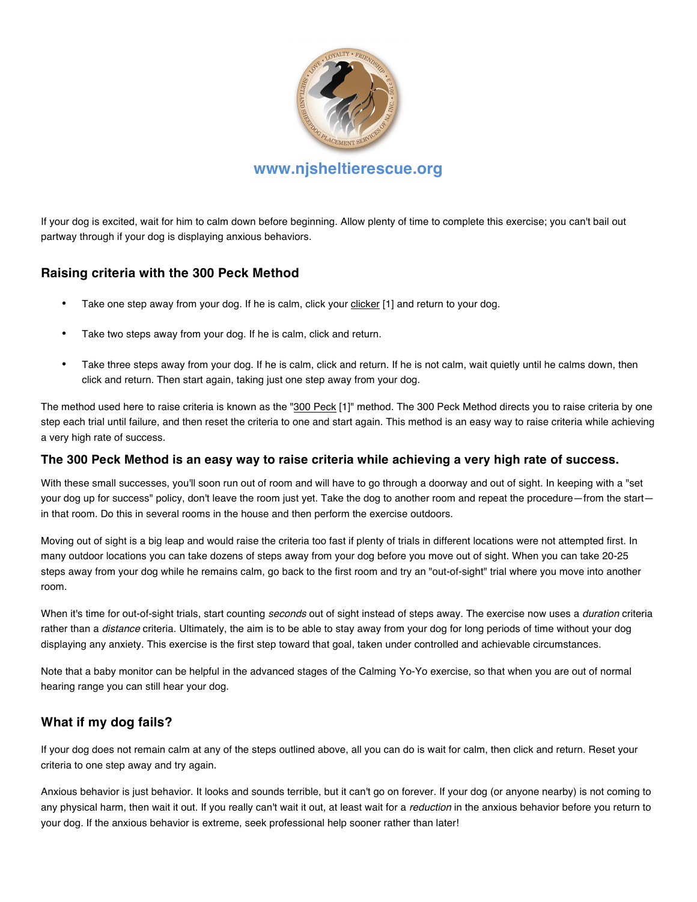

If your dog is excited, wait for him to calm down before beginning. Allow plenty of time to complete this exercise; you can't bail out partway through if your dog is displaying anxious behaviors.

## **Raising criteria with the 300 Peck Method**

- Take one step away from your dog. If he is calm, click your clicker [1] and return to your dog.
- Take two steps away from your dog. If he is calm, click and return.
- Take three steps away from your dog. If he is calm, click and return. If he is not calm, wait quietly until he calms down, then click and return. Then start again, taking just one step away from your dog.

The method used here to raise criteria is known as the "300 Peck [1]" method. The 300 Peck Method directs you to raise criteria by one step each trial until failure, and then reset the criteria to one and start again. This method is an easy way to raise criteria while achieving a very high rate of success.

#### **The 300 Peck Method is an easy way to raise criteria while achieving a very high rate of success.**

With these small successes, you'll soon run out of room and will have to go through a doorway and out of sight. In keeping with a "set your dog up for success" policy, don't leave the room just yet. Take the dog to another room and repeat the procedure—from the start in that room. Do this in several rooms in the house and then perform the exercise outdoors.

Moving out of sight is a big leap and would raise the criteria too fast if plenty of trials in different locations were not attempted first. In many outdoor locations you can take dozens of steps away from your dog before you move out of sight. When you can take 20-25 steps away from your dog while he remains calm, go back to the first room and try an "out-of-sight" trial where you move into another room.

When it's time for out-of-sight trials, start counting *seconds* out of sight instead of steps away. The exercise now uses a *duration* criteria rather than a *distance* criteria. Ultimately, the aim is to be able to stay away from your dog for long periods of time without your dog displaying any anxiety. This exercise is the first step toward that goal, taken under controlled and achievable circumstances.

Note that a baby monitor can be helpful in the advanced stages of the Calming Yo-Yo exercise, so that when you are out of normal hearing range you can still hear your dog.

## **What if my dog fails?**

If your dog does not remain calm at any of the steps outlined above, all you can do is wait for calm, then click and return. Reset your criteria to one step away and try again.

Anxious behavior is just behavior. It looks and sounds terrible, but it can't go on forever. If your dog (or anyone nearby) is not coming to any physical harm, then wait it out. If you really can't wait it out, at least wait for a *reduction* in the anxious behavior before you return to your dog. If the anxious behavior is extreme, seek professional help sooner rather than later!